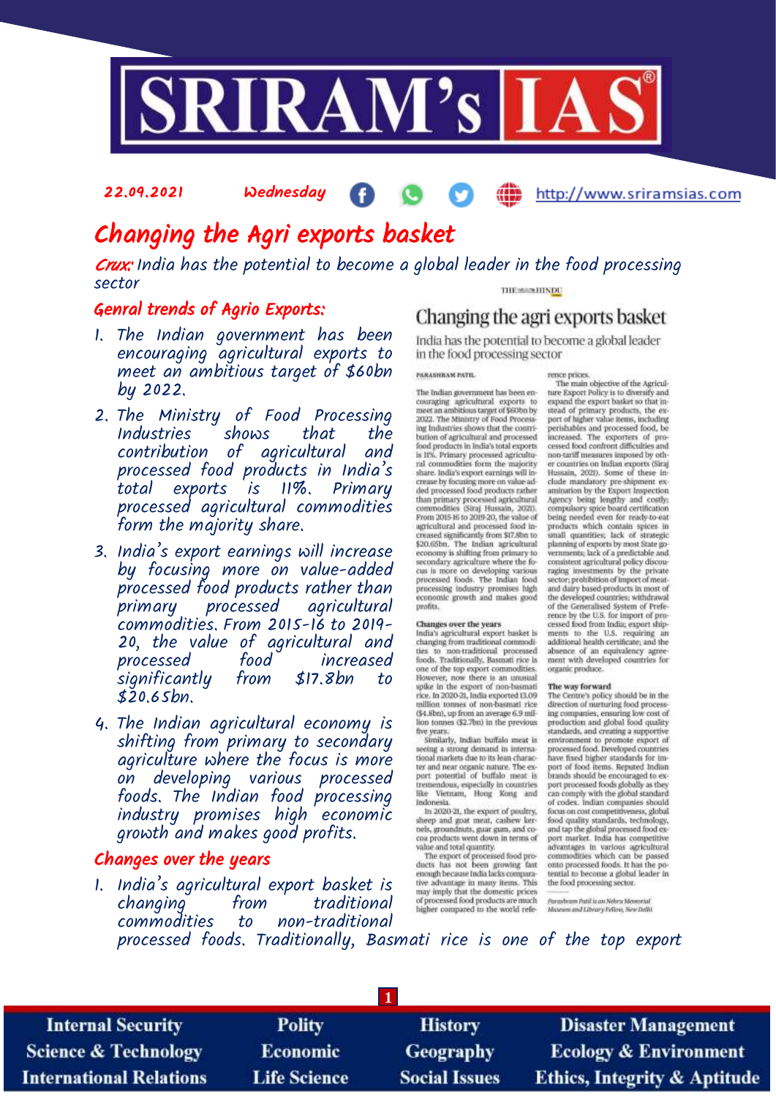

### 22.09.2021 Wednesday æ http://www.sriramsias.com

# Changing the Agri exports basket

Crux: India has the potential to become a global leader in the food processing sector

### Genral trends of Agrio Exports:

- 1. The Indian government has been encouraging agricultural exports to meet an ambitious target of \$60bn by 2022.
- 2. The Ministry of Food Processing Industries shows that the contribution of agricultural and processed food products in India's total exports is 11%. Primary processed agricultural commodities form the majority share.
- 3. India's export earnings will increase by focusing more on value-added processed food products rather than primary processed agricultural commodities. From 2015-16 to 2019- 20, the value of agricultural and processed food increased significantly from \$17.8bn to \$20.65bn.
- 4. The Indian agricultural economy is shifting from primary to secondary agriculture where the focus is more on developing various processed foods. The Indian food processing industry promises high economic growth and makes good profits.

## Changes over the years

1. India's agricultural export basket is changing from traditional commodities to non-traditional

### THE MAIN HINDU

## Changing the agri exports basket

India has the potential to become a global leader in the food processing sector

### PARASHRAM PATIL

The Indian government has been encouraging agricultural exports to<br>meet an ambitious target of \$60bn by meet an ambitous target of \$600n by<br>2022. The Ministry of Food Process-<br>ing Industries shows that the contribution of agricultural and processed<br>food products in India's total exports<br>is 11%. Primary processed agricultural crease by focusing more on value ad-<br>ded processed food products rather than primary processed agricultural<br>commodities (Siraj Hussain, 2021).<br>From 2015-16 to 2019-20, the value of recon auto-to auto-auto-<br>negricultural and processed food in-<br>creased significantly from \$17.8bn to<br>\$20.65bn. The Indian agricultural<br>economy is shifting from primary to secondary agriculture where the fo-<br>cus is more on developing various processed foods. The Indian food<br>processing industry promises high<br>economic growth and makes good profits.

**Changes over the years**<br>India's agricultural export basket is<br>changing from traditional commodities<br>ties to mon-traditional processed<br>foods. Traditionally, Basmati rice is<br>an or the top export commodities.<br>However, now th million tonnes of non-basmati rice<br>(\$4.8bn), up from an average 6.9 million tonnes (\$2.7bn) in the previous five years.<br>Similarly, Indian buffalo meat is

seeing a strong demand in interna-<br>tional markets due to its lean character and near organic nature. The ex-<br>port potential of buffalo meat is tremendous, especially in countries<br>like Vietnam, Hong Kong and Indonésia

In 2020-21, the export of poultry, in zolovia, the export of pounty,<br>sheep and goat meat, cashew ker-<br>nels, groundnuts, guar gum, and co-<br>coa products went down in terms of

can products were down in terms or<br>wake and total quantity.<br>The export of processed food pro-<br>ducts has not been growing fast<br>enough because India lacks compara-<br>tive advantage in many items. This may imply that the domestic prices<br>of processed food products are much higher compared to the world refe-

rence prices.<br>The main objective of the Agriculture Export Policy is to diversify and ture asport roury is to unrestry and<br>expand the export basket so that in-<br>stead of primary products, the ex-<br>port of higher value items, including<br>period and processed food, be<br>increased. The exporters of pro-<br>cessed food non-tariff measures imposed by other countries on Indian exports (Siraj clude mandatory pre-shipment ex-<br>amination by the Export Inspection Agency being lengthy and costly:<br>compulsory spice board certification<br>being needed even for ready-to-eat products which contain spices in<br>small quantities; lack of strategic small quantities; lack of strategic<br>planning of exports by most State go-<br>planning of exports by most State go-<br>consistent agricultural policy discouraging investments by the private<br>sector; probibition of import of meat-<br> cessed food from India; export ship-<br>ments to the U.S. requiring an additional health certificate; and the automatically certain of a structure, and the<br>absence of an equivalency agree-<br>ment with developed countries for organic produce.

The way forward<br>The Centre's policy should be in the The Centre's policy should be in the<br>direction of nurturing food process<br>ing companies, ensuring low cost of<br>production and global food quality<br>standards, and creating a supportive<br>environment to promote export of<br>processe port of food items. Reputed Indian<br>brands should be encouraged to export processed foods globally as they<br>can comply with the global standard<br>of codex. Indian companies should focus on cost competitiveness, global<br>food quality standards, technology, and tap the global processed food ex-<br>port market. India has competitive advantages in various agricultural<br>commodities which can be passed onto processed foods, it has the potential to become a global leader in<br>the food processing sector.

Parasbram Patil is an Nebra Memorial<br>Mascum and Library Fellow, New Delhi

processed foods. Traditionally, Basmati rice is one of the top export

**1**

**Internal Security Science & Technology International Relations** 

**Polity** Economic **Life Science** 

**History Geography Social Issues** 

**Disaster Management Ecology & Environment Ethics, Integrity & Aptitude**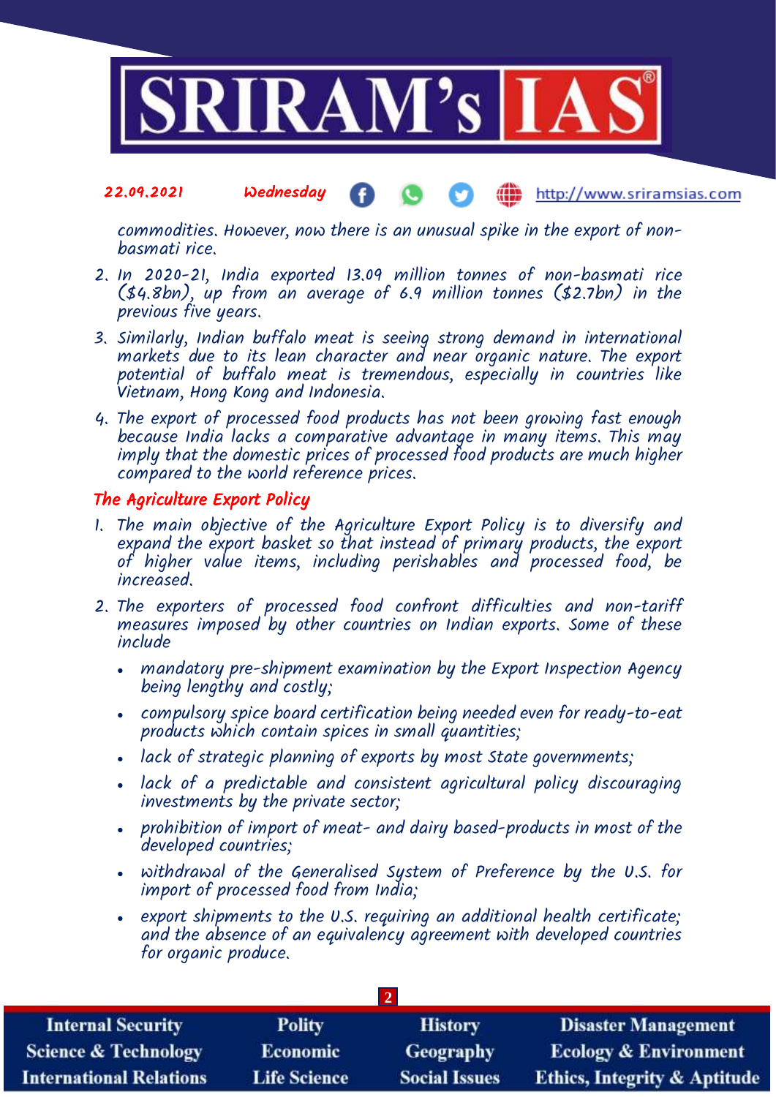

### 22.09.2021 Wednesday http://www.sriramsias.com

commodities. However, now there is an unusual spike in the export of nonbasmati rice.

- 2. In 2020-21, India exported 13.09 million tonnes of non-basmati rice (\$4.8bn), up from an average of 6.9 million tonnes (\$2.7bn) in the previous five years.
- 3. Similarly, Indian buffalo meat is seeing strong demand in international markets due to its lean character and near organic nature. The export potential of buffalo meat is tremendous, especially in countries like Vietnam, Hong Kong and Indonesia.
- 4. The export of processed food products has not been growing fast enough because India lacks a comparative advantage in many items. This may imply that the domestic prices of processed food products are much higher compared to the world reference prices.

### The Agriculture Export Policy

- 1. The main objective of the Agriculture Export Policy is to diversify and expand the export basket so that instead of primary products, the export of higher value items, including perishables and processed food, be increased.
- 2. The exporters of processed food confront difficulties and non-tariff measures imposed by other countries on Indian exports. Some of these include
	- mandatory pre-shipment examination by the Export Inspection Agency being lengthy and costly;
	- compulsory spice board certification being needed even for ready-to-eat products which contain spices in small quantities;
	- lack of strategic planning of exports by most State governments;
	- lack of a predictable and consistent agricultural policy discouraging investments by the private sector;
	- prohibition of import of meat- and dairy based-products in most of the developed countries;
	- withdrawal of the Generalised System of Preference by the U.S. for import of processed food from India;
	- export shipments to the U.S. requiring an additional health certificate; and the absence of an equivalency agreement with developed countries for organic produce.

| <b>Internal Security</b>        | <b>Polity</b>       | <b>History</b>       | <b>Disaster Management</b>              |  |  |  |
|---------------------------------|---------------------|----------------------|-----------------------------------------|--|--|--|
| <b>Science &amp; Technology</b> | <b>Economic</b>     | Geography            | <b>Ecology &amp; Environment</b>        |  |  |  |
| <b>International Relations</b>  | <b>Life Science</b> | <b>Social Issues</b> | <b>Ethics, Integrity &amp; Aptitude</b> |  |  |  |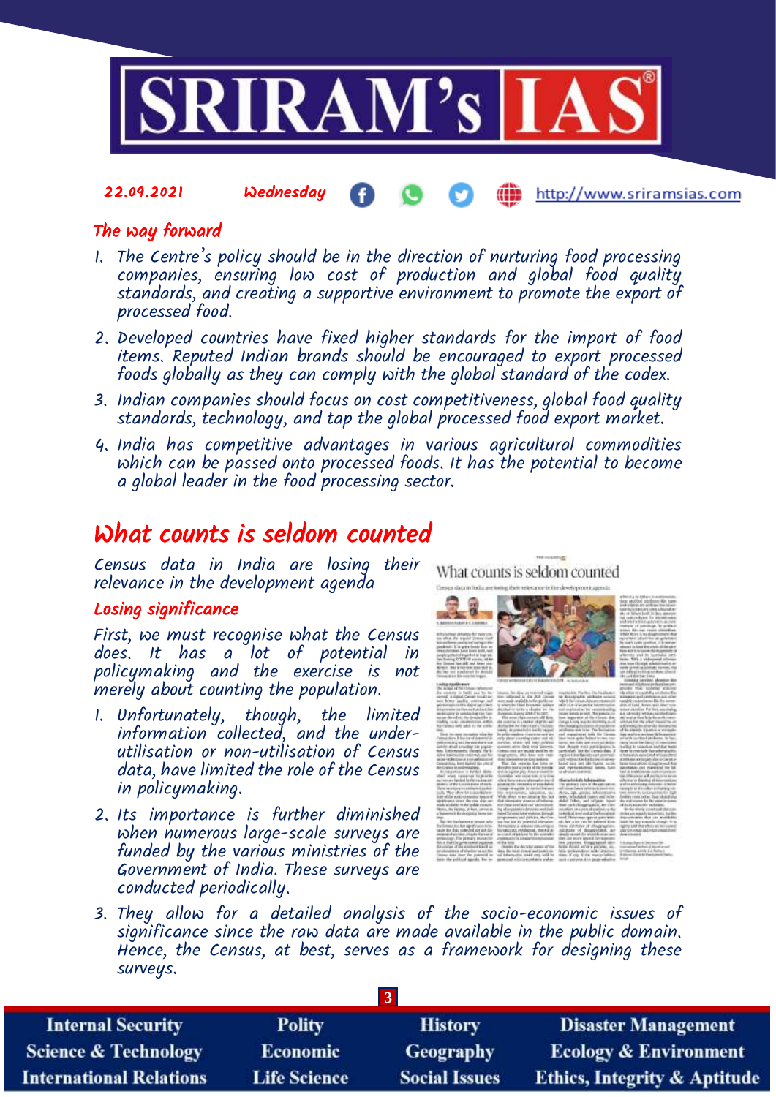

22.09.2021 Wednesday

http://www.sriramsias.com

## The way forward

- 1. The Centre's policy should be in the direction of nurturing food processing companies, ensuring low cost of production and global food quality standards, and creating a supportive environment to promote the export of processed food.
- 2. Developed countries have fixed higher standards for the import of food items. Reputed Indian brands should be encouraged to export processed foods globally as they can comply with the global standard of the codex.
- 3. Indian companies should focus on cost competitiveness, global food quality standards, technology, and tap the global processed food export market.
- 4. India has competitive advantages in various agricultural commodities which can be passed onto processed foods. It has the potential to become a global leader in the food processing sector.

# What counts is seldom counted

Census data in India are losing their relevance in the development agenda

### Losing significance

First, we must recognise what the Census does. It has a lot of potential in policymaking and the exercise is not merely about counting the population.

- 1. Unfortunately, though, the limited information collected, and the underutilisation or non-utilisation of Census data, have limited the role of the Census in policymaking.
- 2. Its importance is further diminished when numerous large-scale surveys are funded by the various ministries of the Government of India. These surveys are conducted periodically.

e - Mar erginisteres, islasistica, qu. - Alessa, agu arrains, inferènciales<br>Al - Midi, dives et eo diguing fixe lant - ands, infantabut tiames and telev<br>an - And alternator arrests of inferior - abdell Tellery, and stilgen 

What counts is seldom counted

3. They allow for a detailed analysis of the socio-economic issues of significance since the raw data are made available in the public domain. Hence, the Census, at best, serves as a framework for designing these surveys.

| <b>Internal Security</b>        | <b>Polity</b>       | <b>History</b>       | <b>Disaster Management</b>              |  |  |  |
|---------------------------------|---------------------|----------------------|-----------------------------------------|--|--|--|
| <b>Science &amp; Technology</b> | <b>Economic</b>     | Geography            | <b>Ecology &amp; Environment</b>        |  |  |  |
| <b>International Relations</b>  | <b>Life Science</b> | <b>Social Issues</b> | <b>Ethics, Integrity &amp; Aptitude</b> |  |  |  |